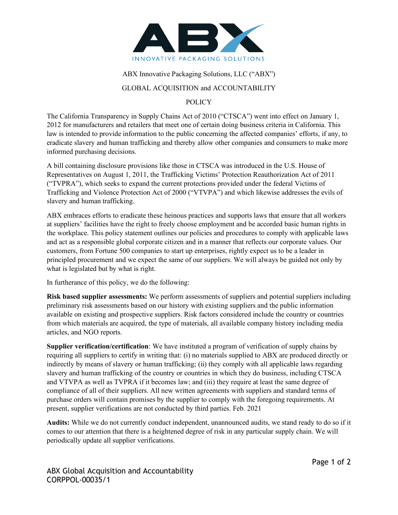

## ABX Innovative Packaging Solutions, LLC ("ABX")

## GLOBAL ACQUISITION and ACCOUNTABILITY

## **POLICY**

The California Transparency in Supply Chains Act of 2010 ("CTSCA") went into effect on January 1, 2012 for manufacturers and retailers that meet one of certain doing business criteria in California. This law is intended to provide information to the public concerning the affected companies' efforts, if any, to eradicate slavery and human trafficking and thereby allow other companies and consumers to make more informed purchasing decisions.

A bill containing disclosure provisions like those in CTSCA was introduced in the U.S. House of Representatives on August 1, 2011, the Trafficking Victims' Protection Reauthorization Act of 2011 ("TVPRA"), which seeks to expand the current protections provided under the federal Victims of Trafficking and Violence Protection Act of 2000 ("VTVPA") and which likewise addresses the evils of slavery and human trafficking.

ABX embraces efforts to eradicate these heinous practices and supports laws that ensure that all workers at suppliers' facilities have the right to freely choose employment and be accorded basic human rights in the workplace. This policy statement outlines our policies and procedures to comply with applicable laws and act as a responsible global corporate citizen and in a manner that reflects our corporate values. Our customers, from Fortune 500 companies to start up enterprises, rightly expect us to be a leader in principled procurement and we expect the same of our suppliers. We will always be guided not only by what is legislated but by what is right.

In furtherance of this policy, we do the following:

**Risk based supplier assessments:** We perform assessments of suppliers and potential suppliers including preliminary risk assessments based on our history with existing suppliers and the public information available on existing and prospective suppliers. Risk factors considered include the country or countries from which materials are acquired, the type of materials, all available company history including media articles, and NGO reports.

**Supplier verification/certification**: We have instituted a program of verification of supply chains by requiring all suppliers to certify in writing that: (i) no materials supplied to ABX are produced directly or indirectly by means of slavery or human trafficking; (ii) they comply with all applicable laws regarding slavery and human trafficking of the country or countries in which they do business, including CTSCA and VTVPA as well as TVPRA if it becomes law; and (iii) they require at least the same degree of compliance of all of their suppliers. All new written agreements with suppliers and standard terms of purchase orders will contain promises by the supplier to comply with the foregoing requirements. At present, supplier verifications are not conducted by third parties. Feb. 2021

**Audits:** While we do not currently conduct independent, unannounced audits, we stand ready to do so if it comes to our attention that there is a heightened degree of risk in any particular supply chain. We will periodically update all supplier verifications.